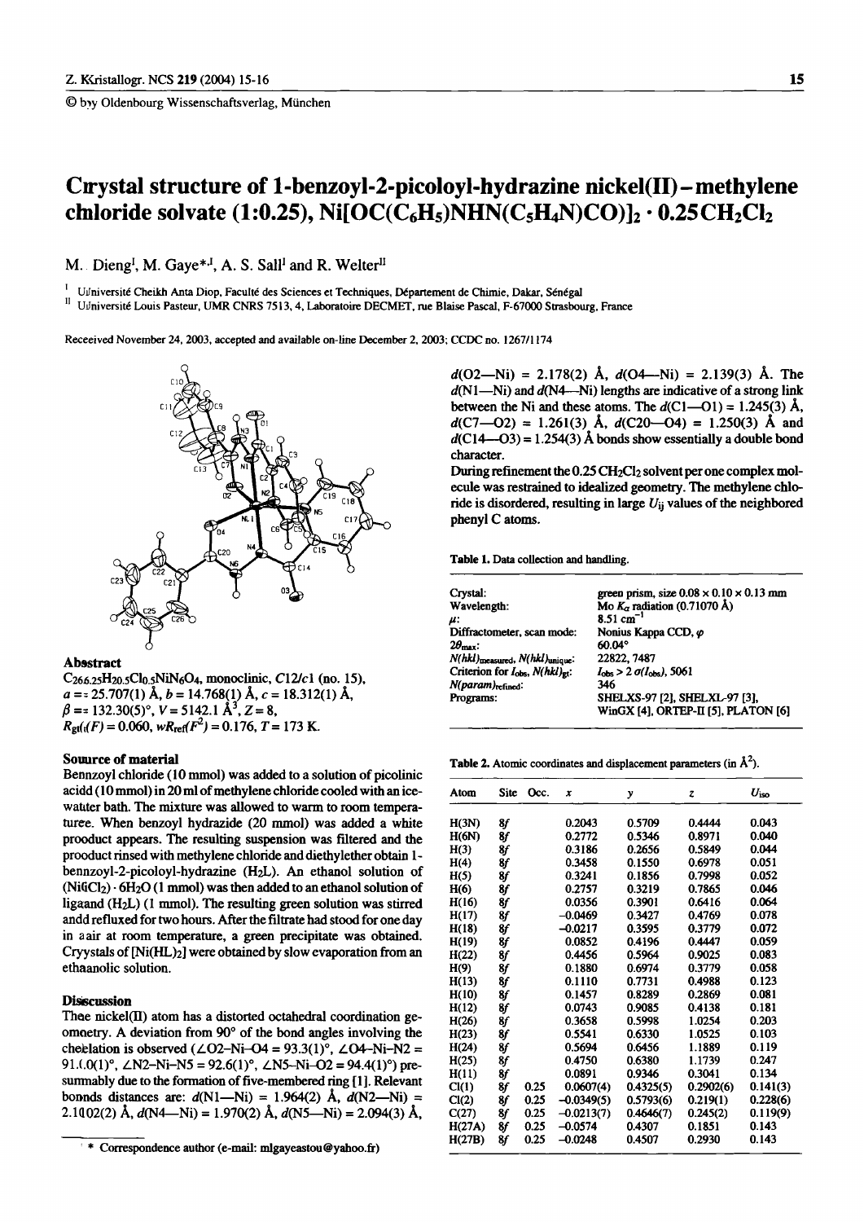© by Oldenbourg Wissenschaftsverlag, München

# Crystal structure of 1-benzoyl-2-picoloyl-hydrazine nickel(II) – methylene chaloride solvate (1:0.25), Ni[OC(C<sub>6</sub>H<sub>5</sub>)NHN(C<sub>5</sub>H<sub>4</sub>N)CO)]<sub>2</sub> · 0.25CH<sub>2</sub>Cl<sub>2</sub>

M. Dieng<sup>I</sup>, M. Gaye<sup>\*,I</sup>, A. S. Sall<sup>I</sup> and R. Welter<sup>II</sup>

Udniversité Cheikh Anta Diop, Faculté des Sciences et Techniques, Département de Chimie, Dakar, Sénégal UJniversité Louis Pasteur, UMR CNRS 7513, 4, Laboratoire DECMET, rue Blaise Pascal, F-67000 Strasbourg, France

Receeived November 24, 2003, accepted and available on-line December 2, 2003; CCDC no. 1267/1174



#### **Absstract**

 $C_{266.25}H_{20.5}Cl_{0.5}NiN_6O_4$ , monoclinic,  $C12/c1$  (no. 15),  $a = 25.707(1)$  Å,  $b = 14.768(1)$  Å,  $c = 18.312(1)$  Å,<br>  $\beta = 132.30(5)$ °,  $V = 5142.1$  Å<sup>3</sup>,  $Z = 8$ ,  $R_{\text{gt}}(t_1/F) = 0.060$ ,  $wR_{\text{ref}}(F^2) = 0.176$ ,  $T = 173$  K.

### Souurce of material

Bennzovl chloride (10 mmol) was added to a solution of picolinic acidd (10 mmol) in 20 ml of methylene chloride cooled with an icewatter bath. The mixture was allowed to warm to room temperaturee. When benzoyl hydrazide (20 mmol) was added a white prooduct appears. The resulting suspension was filtered and the prooduct rinsed with methylene chloride and diethylether obtain 1bennzoyl-2-picoloyl-hydrazine (H<sub>2</sub>L). An ethanol solution of  $(NiGCI<sub>2</sub>) \cdot 6H<sub>2</sub>O$  (1 mmol) was then added to an ethanol solution of ligaand  $(H<sub>2</sub>L)$  (1 mmol). The resulting green solution was stirred andd refluxed for two hours. After the filtrate had stood for one day in a air at room temperature, a green precipitate was obtained. Cryystals of [Ni(HL)2] were obtained by slow evaporation from an ethaanolic solution.

## **Disscussion**

Thee nickel(II) atom has a distorted octahedral coordination geomogetry. A deviation from 90° of the bond angles involving the chelation is observed ( $\angle$ O2–Ni–O4 = 93.3(1)°,  $\angle$ O4–Ni–N2 = 91.(.0(1)°,  $\angle$ N2-Ni-N5 = 92.6(1)°,  $\angle$ N5-Ni-O2 = 94.4(1)°) presummably due to the formation of five-membered ring [1]. Relevant bonnds distances are:  $d(N1-Ni) = 1.964(2)$  Å,  $d(N2-Ni) =$ 2.1002(2) Å,  $d(N4-Ni) = 1.970(2)$  Å,  $d(N5-Ni) = 2.094(3)$  Å,

 $d(O2-Ni) = 2.178(2)$  Å,  $d(O4-Ni) = 2.139(3)$  Å. The  $d(N1-Ni)$  and  $d(N4-Ni)$  lengths are indicative of a strong link between the Ni and these atoms. The  $d(C1-01) = 1.245(3)$  Å,  $d(C7-02) = 1.261(3)$  Å,  $d(C20-04) = 1.250(3)$  Å and  $d(C14 - O3) = 1.254(3)$  Å bonds show essentially a double bond character.

During refinement the 0.25 CH<sub>2</sub>Cl<sub>2</sub> solvent per one complex molecule was restrained to idealized geometry. The methylene chloride is disordered, resulting in large  $U_{ii}$  values of the neighbored phenyl C atoms.

Table 1. Data collection and handling.

| Crystal:                                  | green prism, size $0.08 \times 0.10 \times 0.13$ mm |
|-------------------------------------------|-----------------------------------------------------|
| Wavelength:                               | Mo $K_{\alpha}$ radiation (0.71070 Å)               |
| u:                                        | 8.51 $cm^{-1}$                                      |
| Diffractometer, scan mode:                | Nonius Kappa CCD, $\varphi$                         |
| $2\theta_{\text{max}}$ :                  | 60.04°                                              |
| N(hkl)measured, N(hkl)unique:             | 22822, 7487                                         |
| Criterion for $I_{obs}$ , $N(hkl)_{gt}$ : | $I_{\rm obs}$ > 2 $\sigma(I_{\rm obs})$ , 5061      |
| N(param) <sub>refined</sub> :             | 346                                                 |
| Programs:                                 | SHELXS-97 [2], SHELXL-97 [3],                       |
|                                           | WinGX [4], ORTEP-II [5], PLATON [6]                 |
|                                           |                                                     |

**Table 2.** Atomic coordinates and displacement parameters (in  $\mathring{A}^2$ ).

| Atom   | <b>Site</b> | Occ. | x            | y         | z         | $U_{\rm iso}$ |
|--------|-------------|------|--------------|-----------|-----------|---------------|
| H(3N)  | 8f          |      | 0.2043       | 0.5709    | 0.4444    | 0.043         |
| H(6N)  | 8f          |      | 0.2772       | 0.5346    | 0.8971    | 0.040         |
| H(3)   | 8f          |      | 0.3186       | 0.2656    | 0.5849    | 0.044         |
| H(4)   | 8f          |      | 0.3458       | 0.1550    | 0.6978    | 0.051         |
| H(5)   | 8f          |      | 0.3241       | 0.1856    | 0.7998    | 0.052         |
| H(6)   | 8f          |      | 0.2757       | 0.3219    | 0.7865    | 0.046         |
| H(16)  | 8f          |      | 0.0356       | 0.3901    | 0.6416    | 0.064         |
| H(17)  | 8f          |      | $-0.0469$    | 0.3427    | 0.4769    | 0.078         |
| H(18)  | 8f          |      | $-0.0217$    | 0.3595    | 0.3779    | 0.072         |
| H(19)  | 8f          |      | 0.0852       | 0.4196    | 0.4447    | 0.059         |
| H(22)  | 8f          |      | 0.4456       | 0.5964    | 0.9025    | 0.083         |
| H(9)   | 8f          |      | 0.1880       | 0.6974    | 0.3779    | 0.058         |
| H(13)  | 8f          |      | 0.1110       | 0.7731    | 0.4988    | 0.123         |
| H(10)  | 8f          |      | 0.1457       | 0.8289    | 0.2869    | 0.081         |
| H(12)  | 8f          |      | 0.0743       | 0.9085    | 0.4138    | 0.181         |
| H(26)  | 8f          |      | 0.3658       | 0.5998    | 1.0254    | 0.203         |
| H(23)  | 8f          |      | 0.5541       | 0.6330    | 1.0525    | 0.103         |
| H(24)  | 8f          |      | 0.5694       | 0.6456    | 1.1889    | 0.119         |
| H(25)  | 8f          |      | 0.4750       | 0.6380    | 1.1739    | 0.247         |
| H(11)  | 8f          |      | 0.0891       | 0.9346    | 0.3041    | 0.134         |
| Cl(1)  | 8f          | 0.25 | 0.0607(4)    | 0.4325(5) | 0.2902(6) | 0.141(3)      |
| Cl(2)  | 8f          | 0.25 | $-0.0349(5)$ | 0.5793(6) | 0.219(1)  | 0.228(6)      |
| C(27)  | 8f          | 0.25 | $-0.0213(7)$ | 0.4646(7) | 0.245(2)  | 0.119(9)      |
| H(27A) | 8f          | 0.25 | $-0.0574$    | 0.4307    | 0.1851    | 0.143         |
| H(27B) | 8f          | 0.25 | $-0.0248$    | 0.4507    | 0.2930    | 0.143         |

<sup>\*</sup> Correspondence author (e-mail: mlgayeastou@yahoo.fr)